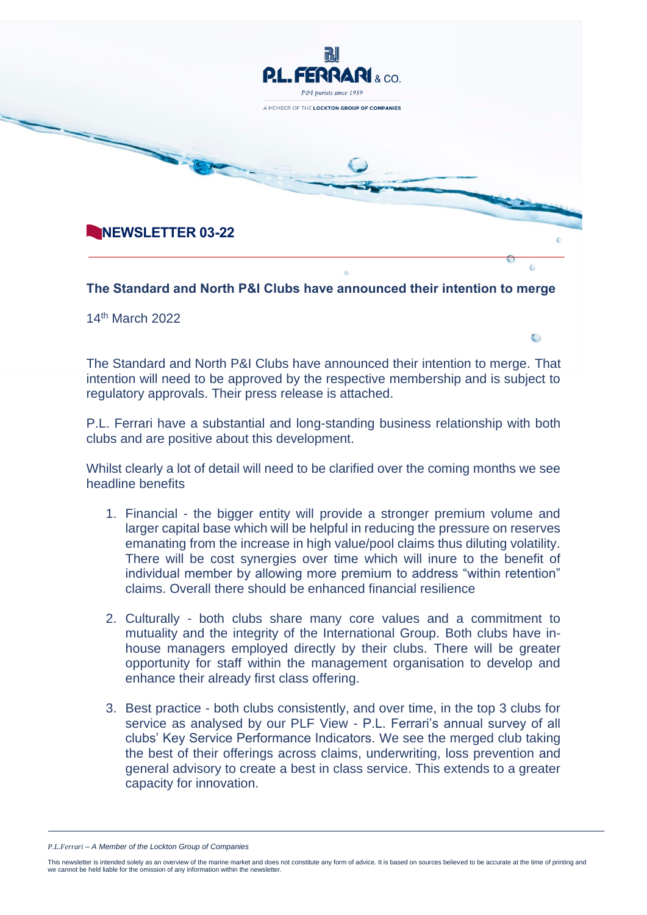

14th March 2022

The Standard and North P&I Clubs have announced their intention to merge. That intention will need to be approved by the respective membership and is subject to regulatory approvals. Their press release is attached.

 $\bigcirc$ 

P.L. Ferrari have a substantial and long-standing business relationship with both clubs and are positive about this development.

Whilst clearly a lot of detail will need to be clarified over the coming months we see headline benefits

- 1. Financial the bigger entity will provide a stronger premium volume and larger capital base which will be helpful in reducing the pressure on reserves emanating from the increase in high value/pool claims thus diluting volatility. There will be cost synergies over time which will inure to the benefit of individual member by allowing more premium to address "within retention" claims. Overall there should be enhanced financial resilience
- 2. Culturally both clubs share many core values and a commitment to mutuality and the integrity of the International Group. Both clubs have inhouse managers employed directly by their clubs. There will be greater opportunity for staff within the management organisation to develop and enhance their already first class offering.
- 3. Best practice both clubs consistently, and over time, in the top 3 clubs for service as analysed by our PLF View - P.L. Ferrari's annual survey of all clubs' Key Service Performance Indicators. We see the merged club taking the best of their offerings across claims, underwriting, loss prevention and general advisory to create a best in class service. This extends to a greater capacity for innovation.

*P.L.Ferrari – A Member of the Lockton Group of Companies* 

This newsletter is intended solely as an overview of the marine market and does not constitute any form of advice. It is based on sources believed to be accurate at the time of printing and<br>we cannot be held liable for the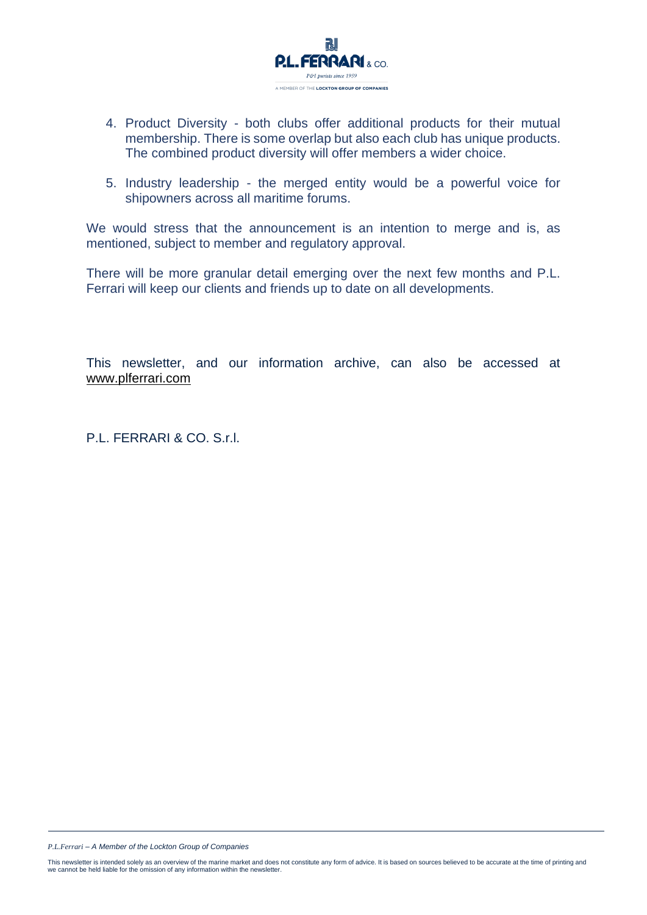

- 4. Product Diversity both clubs offer additional products for their mutual membership. There is some overlap but also each club has unique products. The combined product diversity will offer members a wider choice.
- 5. Industry leadership the merged entity would be a powerful voice for shipowners across all maritime forums.

We would stress that the announcement is an intention to merge and is, as mentioned, subject to member and regulatory approval.

There will be more granular detail emerging over the next few months and P.L. Ferrari will keep our clients and friends up to date on all developments.

This newsletter, and our information archive, can also be accessed at [www.plferrari.com](http://www.plferrari.com/)

P.L. FERRARI & CO. S.r.l.

*P.L.Ferrari – A Member of the Lockton Group of Companies*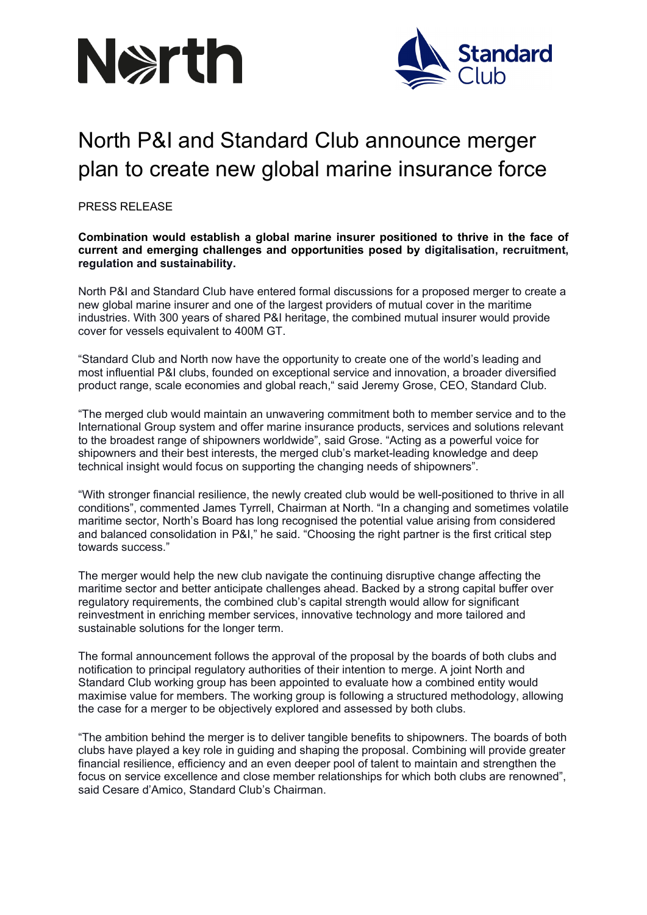



# North P&I and Standard Club announce merger plan to create new global marine insurance force

PRESS RELEASE

# **Combination would establish a global marine insurer positioned to thrive in the face of current and emerging challenges and opportunities posed by digitalisation, recruitment, regulation and sustainability.**

North P&I and Standard Club have entered formal discussions for a proposed merger to create a new global marine insurer and one of the largest providers of mutual cover in the maritime industries. With 300 years of shared P&I heritage, the combined mutual insurer would provide cover for vessels equivalent to 400M GT.

"Standard Club and North now have the opportunity to create one of the world's leading and most influential P&I clubs, founded on exceptional service and innovation, a broader diversified product range, scale economies and global reach," said Jeremy Grose, CEO, Standard Club.

"The merged club would maintain an unwavering commitment both to member service and to the International Group system and offer marine insurance products, services and solutions relevant to the broadest range of shipowners worldwide", said Grose. "Acting as a powerful voice for shipowners and their best interests, the merged club's market-leading knowledge and deep technical insight would focus on supporting the changing needs of shipowners".

"With stronger financial resilience, the newly created club would be well-positioned to thrive in all conditions", commented James Tyrrell, Chairman at North. "In a changing and sometimes volatile maritime sector, North's Board has long recognised the potential value arising from considered and balanced consolidation in P&I," he said. "Choosing the right partner is the first critical step towards success."

The merger would help the new club navigate the continuing disruptive change affecting the maritime sector and better anticipate challenges ahead. Backed by a strong capital buffer over regulatory requirements, the combined club's capital strength would allow for significant reinvestment in enriching member services, innovative technology and more tailored and sustainable solutions for the longer term.

The formal announcement follows the approval of the proposal by the boards of both clubs and notification to principal regulatory authorities of their intention to merge. A joint North and Standard Club working group has been appointed to evaluate how a combined entity would maximise value for members. The working group is following a structured methodology, allowing the case for a merger to be objectively explored and assessed by both clubs.

"The ambition behind the merger is to deliver tangible benefits to shipowners. The boards of both clubs have played a key role in guiding and shaping the proposal. Combining will provide greater financial resilience, efficiency and an even deeper pool of talent to maintain and strengthen the focus on service excellence and close member relationships for which both clubs are renowned", said Cesare d'Amico, Standard Club's Chairman.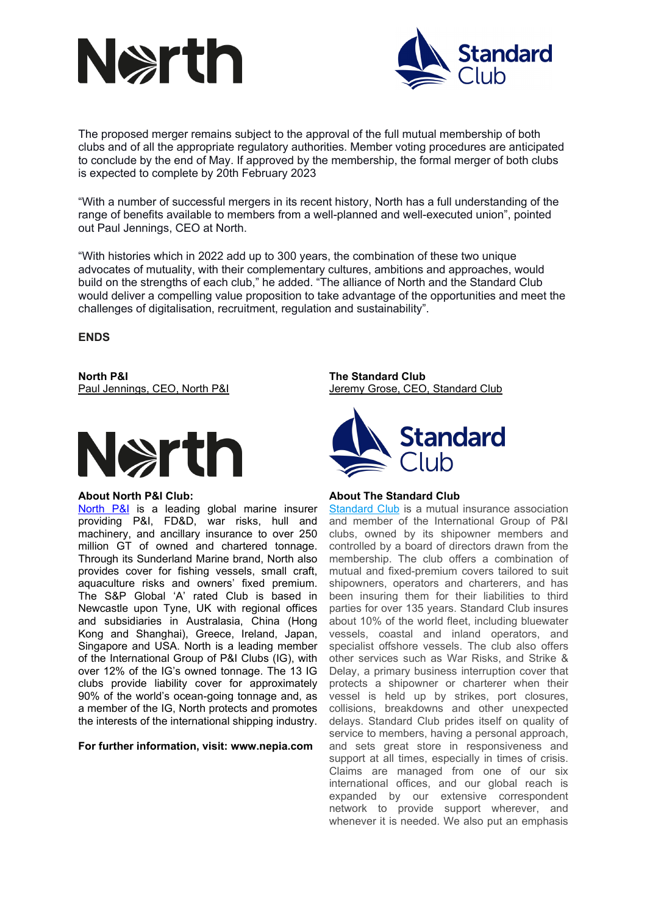



The proposed merger remains subject to the approval of the full mutual membership of both clubs and of all the appropriate regulatory authorities. Member voting procedures are anticipated to conclude by the end of May. If approved by the membership, the formal merger of both clubs is expected to complete by 20th February 2023

"With a number of successful mergers in its recent history, North has a full understanding of the range of benefits available to members from a well-planned and well-executed union", pointed out Paul Jennings, CEO at North.

"With histories which in 2022 add up to 300 years, the combination of these two unique advocates of mutuality, with their complementary cultures, ambitions and approaches, would build on the strengths of each club," he added. "The alliance of North and the Standard Club would deliver a compelling value proposition to take advantage of the opportunities and meet the challenges of digitalisation, recruitment, regulation and sustainability".

**ENDS** 

**North P&I The Standard Club**



## **About North P&I Club:**

[North P&I](http://www.nepia.com/) is a leading global marine insurer providing P&I, FD&D, war risks, hull and machinery, and ancillary insurance to over 250 million GT of owned and chartered tonnage. Through its Sunderland Marine brand, North also provides cover for fishing vessels, small craft, aquaculture risks and owners' fixed premium. The S&P Global 'A' rated Club is based in Newcastle upon Tyne, UK with regional offices and subsidiaries in Australasia, China (Hong Kong and Shanghai), Greece, Ireland, Japan, Singapore and USA. North is a leading member of the International Group of P&I Clubs (IG), with over 12% of the IG's owned tonnage. The 13 IG clubs provide liability cover for approximately 90% of the world's ocean-going tonnage and, as a member of the IG, North protects and promotes the interests of the international shipping industry.

## **For further information, visit: [www.nepia.com](http://www.nepia.com/)**

Paul Jennings, CEO, North P&I Jeremy Grose, CEO, Standard Club



## **About The Standard Club**

[Standard](http://www.standard-club.com/) Club is a mutual insurance association and member of the International Group of P&I clubs, owned by its shipowner members and controlled by a board of directors drawn from the membership. The club offers a combination of mutual and fixed-premium covers tailored to suit shipowners, operators and charterers, and has been insuring them for their liabilities to third parties for over 135 years. Standard Club insures about 10% of the world fleet, including bluewater vessels, coastal and inland operators, and specialist offshore vessels. The club also offers other services such as War Risks, and Strike & Delay, a primary business interruption cover that protects a shipowner or charterer when their vessel is held up by strikes, port closures, collisions, breakdowns and other unexpected delays. Standard Club prides itself on quality of service to members, having a personal approach, and sets great store in responsiveness and support at all times, especially in times of crisis. Claims are managed from one of our six international offices, and our global reach is expanded by our extensive correspondent network to provide support wherever, and whenever it is needed. We also put an emphasis